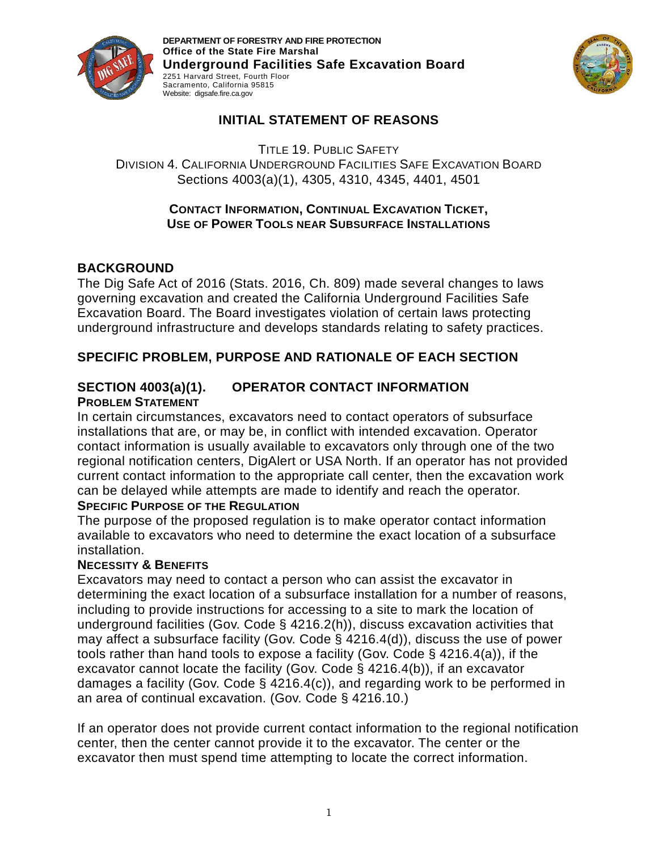

**DEPARTMENT OF FORESTRY AND FIRE PROTECTION Office of the State Fire Marshal Underground Facilities Safe Excavation Board**  2251 Harvard Street, Fourth Floor Sacramento, California 95815 Website: digsafe.fire.ca.gov



## **INITIAL STATEMENT OF REASONS**

TITLE 19. PUBLIC SAFETY DIVISION 4. CALIFORNIA UNDERGROUND FACILITIES SAFE EXCAVATION BOARD Sections 4003(a)(1), 4305, 4310, 4345, 4401, 4501

#### **CONTACT INFORMATION, CONTINUAL EXCAVATION TICKET, USE OF POWER TOOLS NEAR SUBSURFACE INSTALLATIONS**

## **BACKGROUND**

The Dig Safe Act of 2016 (Stats. 2016, Ch. 809) made several changes to laws governing excavation and created the California Underground Facilities Safe Excavation Board. The Board investigates violation of certain laws protecting underground infrastructure and develops standards relating to safety practices.

## **SPECIFIC PROBLEM, PURPOSE AND RATIONALE OF EACH SECTION**

### **SECTION 4003(a)(1). OPERATOR CONTACT INFORMATION PROBLEM STATEMENT**

In certain circumstances, excavators need to contact operators of subsurface installations that are, or may be, in conflict with intended excavation. Operator contact information is usually available to excavators only through one of the two regional notification centers, DigAlert or USA North. If an operator has not provided current contact information to the appropriate call center, then the excavation work can be delayed while attempts are made to identify and reach the operator.

#### **SPECIFIC PURPOSE OF THE REGULATION**

The purpose of the proposed regulation is to make operator contact information available to excavators who need to determine the exact location of a subsurface installation.

#### **NECESSITY & BENEFITS**

Excavators may need to contact a person who can assist the excavator in determining the exact location of a subsurface installation for a number of reasons, including to provide instructions for accessing to a site to mark the location of underground facilities (Gov. Code § 4216.2(h)), discuss excavation activities that may affect a subsurface facility (Gov. Code § 4216.4(d)), discuss the use of power tools rather than hand tools to expose a facility (Gov. Code § 4216.4(a)), if the excavator cannot locate the facility (Gov. Code § 4216.4(b)), if an excavator damages a facility (Gov. Code § 4216.4(c)), and regarding work to be performed in an area of continual excavation. (Gov. Code § 4216.10.)

If an operator does not provide current contact information to the regional notification center, then the center cannot provide it to the excavator. The center or the excavator then must spend time attempting to locate the correct information.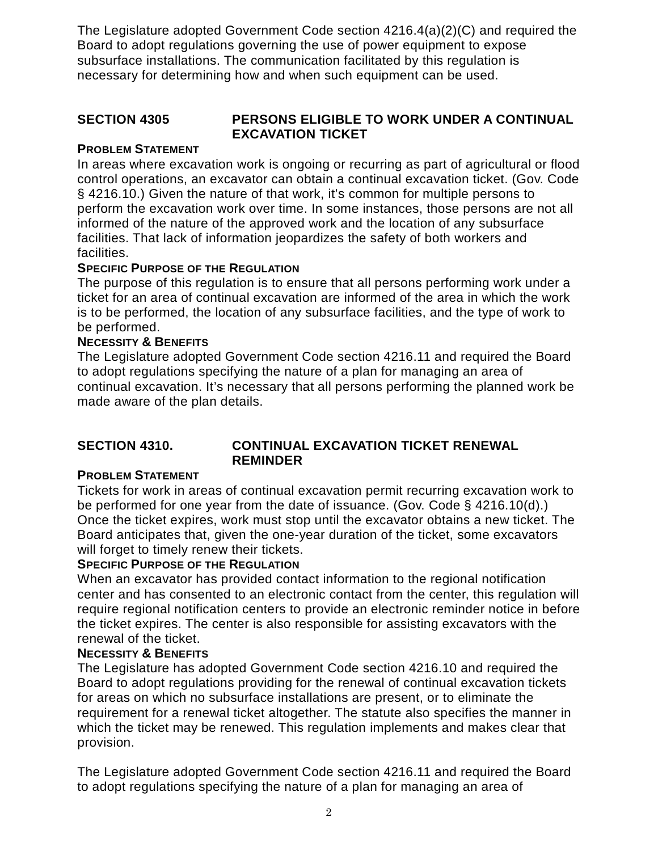The Legislature adopted Government Code section 4216.4(a)(2)(C) and required the Board to adopt regulations governing the use of power equipment to expose subsurface installations. The communication facilitated by this regulation is necessary for determining how and when such equipment can be used.

### **SECTION 4305 PERSONS ELIGIBLE TO WORK UNDER A CONTINUAL EXCAVATION TICKET**

### **PROBLEM STATEMENT**

In areas where excavation work is ongoing or recurring as part of agricultural or flood control operations, an excavator can obtain a continual excavation ticket. (Gov. Code § 4216.10.) Given the nature of that work, it's common for multiple persons to perform the excavation work over time. In some instances, those persons are not all informed of the nature of the approved work and the location of any subsurface facilities. That lack of information jeopardizes the safety of both workers and facilities.

### **SPECIFIC PURPOSE OF THE REGULATION**

The purpose of this regulation is to ensure that all persons performing work under a ticket for an area of continual excavation are informed of the area in which the work is to be performed, the location of any subsurface facilities, and the type of work to be performed.

### **NECESSITY & BENEFITS**

The Legislature adopted Government Code section 4216.11 and required the Board to adopt regulations specifying the nature of a plan for managing an area of continual excavation. It's necessary that all persons performing the planned work be made aware of the plan details.

### **SECTION 4310. CONTINUAL EXCAVATION TICKET RENEWAL REMINDER**

## **PROBLEM STATEMENT**

Tickets for work in areas of continual excavation permit recurring excavation work to be performed for one year from the date of issuance. (Gov. Code § 4216.10(d).) Once the ticket expires, work must stop until the excavator obtains a new ticket. The Board anticipates that, given the one-year duration of the ticket, some excavators will forget to timely renew their tickets.

#### **SPECIFIC PURPOSE OF THE REGULATION**

When an excavator has provided contact information to the regional notification center and has consented to an electronic contact from the center, this regulation will require regional notification centers to provide an electronic reminder notice in before the ticket expires. The center is also responsible for assisting excavators with the renewal of the ticket.

#### **NECESSITY & BENEFITS**

The Legislature has adopted Government Code section 4216.10 and required the Board to adopt regulations providing for the renewal of continual excavation tickets for areas on which no subsurface installations are present, or to eliminate the requirement for a renewal ticket altogether. The statute also specifies the manner in which the ticket may be renewed. This regulation implements and makes clear that provision.

The Legislature adopted Government Code section 4216.11 and required the Board to adopt regulations specifying the nature of a plan for managing an area of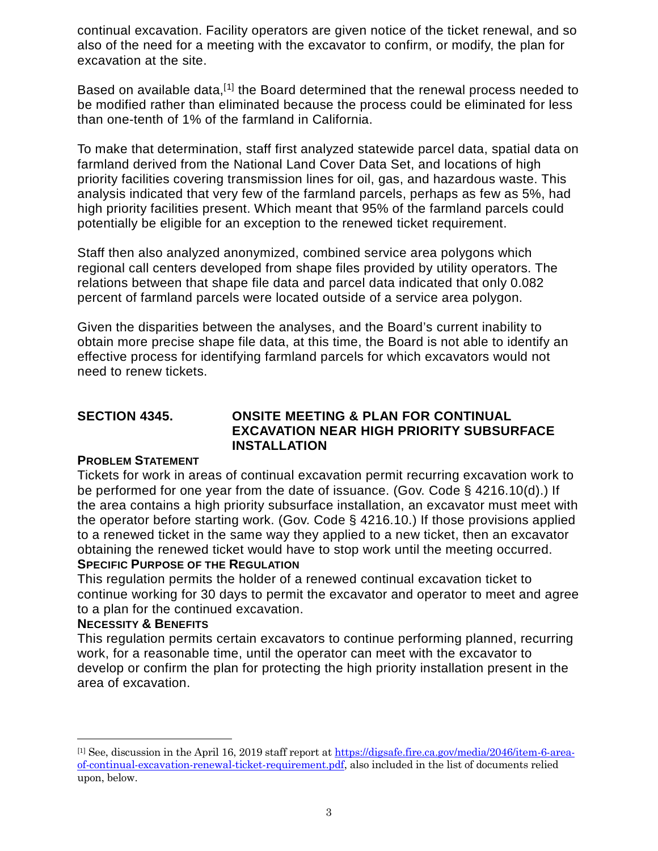continual excavation. Facility operators are given notice of the ticket renewal, and so also of the need for a meeting with the excavator to confirm, or modify, the plan for excavation at the site.

Based on available data,<sup>[[1\]](#page-2-0)</sup> the Board determined that the renewal process needed to be modified rather than eliminated because the process could be eliminated for less than one-tenth of 1% of the farmland in California.

To make that determination, staff first analyzed statewide parcel data, spatial data on farmland derived from the National Land Cover Data Set, and locations of high priority facilities covering transmission lines for oil, gas, and hazardous waste. This analysis indicated that very few of the farmland parcels, perhaps as few as 5%, had high priority facilities present. Which meant that 95% of the farmland parcels could potentially be eligible for an exception to the renewed ticket requirement.

Staff then also analyzed anonymized, combined service area polygons which regional call centers developed from shape files provided by utility operators. The relations between that shape file data and parcel data indicated that only 0.082 percent of farmland parcels were located outside of a service area polygon.

Given the disparities between the analyses, and the Board's current inability to obtain more precise shape file data, at this time, the Board is not able to identify an effective process for identifying farmland parcels for which excavators would not need to renew tickets.

## **SECTION 4345. ONSITE MEETING & PLAN FOR CONTINUAL EXCAVATION NEAR HIGH PRIORITY SUBSURFACE INSTALLATION**

#### **PROBLEM STATEMENT**

Tickets for work in areas of continual excavation permit recurring excavation work to be performed for one year from the date of issuance. (Gov. Code § 4216.10(d).) If the area contains a high priority subsurface installation, an excavator must meet with the operator before starting work. (Gov. Code § 4216.10.) If those provisions applied to a renewed ticket in the same way they applied to a new ticket, then an excavator obtaining the renewed ticket would have to stop work until the meeting occurred. **SPECIFIC PURPOSE OF THE REGULATION**

This regulation permits the holder of a renewed continual excavation ticket to continue working for 30 days to permit the excavator and operator to meet and agree to a plan for the continued excavation.

#### **NECESSITY & BENEFITS**

 $\overline{a}$ 

This regulation permits certain excavators to continue performing planned, recurring work, for a reasonable time, until the operator can meet with the excavator to develop or confirm the plan for protecting the high priority installation present in the area of excavation.

<span id="page-2-0"></span><sup>[1]</sup> See, discussion in the April 16, 2019 staff report a[t https://digsafe.fire.ca.gov/media/2046/item-6-area](https://digsafe.fire.ca.gov/media/2046/item-6-area-of-continual-excavation-renewal-ticket-requirement.pdf)[of-continual-excavation-renewal-ticket-requirement.pdf,](https://digsafe.fire.ca.gov/media/2046/item-6-area-of-continual-excavation-renewal-ticket-requirement.pdf) also included in the list of documents relied upon, below.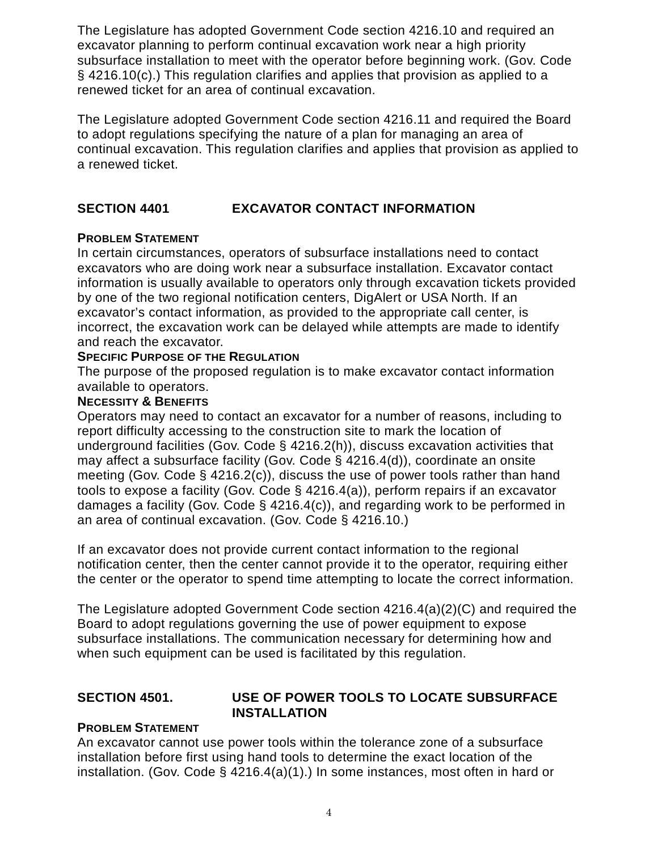The Legislature has adopted Government Code section 4216.10 and required an excavator planning to perform continual excavation work near a high priority subsurface installation to meet with the operator before beginning work. (Gov. Code § 4216.10(c).) This regulation clarifies and applies that provision as applied to a renewed ticket for an area of continual excavation.

The Legislature adopted Government Code section 4216.11 and required the Board to adopt regulations specifying the nature of a plan for managing an area of continual excavation. This regulation clarifies and applies that provision as applied to a renewed ticket.

## **SECTION 4401 EXCAVATOR CONTACT INFORMATION**

### **PROBLEM STATEMENT**

In certain circumstances, operators of subsurface installations need to contact excavators who are doing work near a subsurface installation. Excavator contact information is usually available to operators only through excavation tickets provided by one of the two regional notification centers, DigAlert or USA North. If an excavator's contact information, as provided to the appropriate call center, is incorrect, the excavation work can be delayed while attempts are made to identify and reach the excavator.

#### **SPECIFIC PURPOSE OF THE REGULATION**

The purpose of the proposed regulation is to make excavator contact information available to operators.

#### **NECESSITY & BENEFITS**

Operators may need to contact an excavator for a number of reasons, including to report difficulty accessing to the construction site to mark the location of underground facilities (Gov. Code § 4216.2(h)), discuss excavation activities that may affect a subsurface facility (Gov. Code § 4216.4(d)), coordinate an onsite meeting (Gov. Code § 4216.2(c)), discuss the use of power tools rather than hand tools to expose a facility (Gov. Code § 4216.4(a)), perform repairs if an excavator damages a facility (Gov. Code § 4216.4(c)), and regarding work to be performed in an area of continual excavation. (Gov. Code § 4216.10.)

If an excavator does not provide current contact information to the regional notification center, then the center cannot provide it to the operator, requiring either the center or the operator to spend time attempting to locate the correct information.

The Legislature adopted Government Code section 4216.4(a)(2)(C) and required the Board to adopt regulations governing the use of power equipment to expose subsurface installations. The communication necessary for determining how and when such equipment can be used is facilitated by this regulation.

### **SECTION 4501. USE OF POWER TOOLS TO LOCATE SUBSURFACE INSTALLATION**

#### **PROBLEM STATEMENT**

An excavator cannot use power tools within the tolerance zone of a subsurface installation before first using hand tools to determine the exact location of the installation. (Gov. Code § 4216.4(a)(1).) In some instances, most often in hard or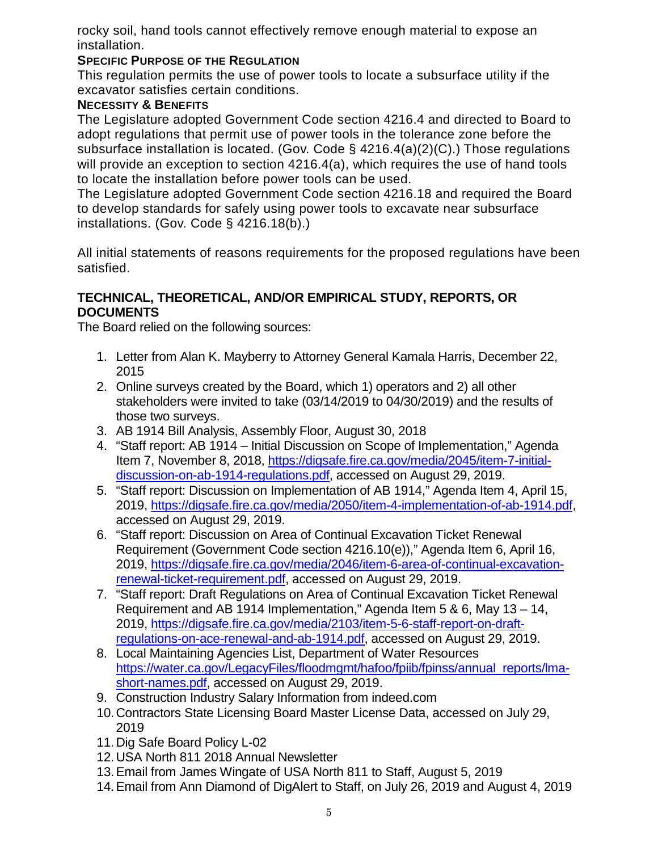rocky soil, hand tools cannot effectively remove enough material to expose an installation.

### **SPECIFIC PURPOSE OF THE REGULATION**

This regulation permits the use of power tools to locate a subsurface utility if the excavator satisfies certain conditions.

## **NECESSITY & BENEFITS**

The Legislature adopted Government Code section 4216.4 and directed to Board to adopt regulations that permit use of power tools in the tolerance zone before the subsurface installation is located. (Gov. Code § 4216.4(a)(2)(C).) Those regulations will provide an exception to section 4216.4(a), which requires the use of hand tools to locate the installation before power tools can be used.

The Legislature adopted Government Code section 4216.18 and required the Board to develop standards for safely using power tools to excavate near subsurface installations. (Gov. Code § 4216.18(b).)

All initial statements of reasons requirements for the proposed regulations have been satisfied.

### **TECHNICAL, THEORETICAL, AND/OR EMPIRICAL STUDY, REPORTS, OR DOCUMENTS**

The Board relied on the following sources:

- 1. Letter from Alan K. Mayberry to Attorney General Kamala Harris, December 22, 2015
- 2. Online surveys created by the Board, which 1) operators and 2) all other stakeholders were invited to take (03/14/2019 to 04/30/2019) and the results of those two surveys.
- 3. AB 1914 Bill Analysis, Assembly Floor, August 30, 2018
- 4. "Staff report: AB 1914 Initial Discussion on Scope of Implementation," Agenda Item 7, November 8, 2018, [https://digsafe.fire.ca.gov/media/2045/item-7-initial](https://digsafe.fire.ca.gov/media/2045/item-7-initial-discussion-on-ab-1914-regulations.pdf)[discussion-on-ab-1914-regulations.pdf,](https://digsafe.fire.ca.gov/media/2045/item-7-initial-discussion-on-ab-1914-regulations.pdf) accessed on August 29, 2019.
- 5. "Staff report: Discussion on Implementation of AB 1914," Agenda Item 4, April 15, 2019, [https://digsafe.fire.ca.gov/media/2050/item-4-implementation-of-ab-1914.pdf,](https://digsafe.fire.ca.gov/media/2050/item-4-implementation-of-ab-1914.pdf) accessed on August 29, 2019.
- 6. "Staff report: Discussion on Area of Continual Excavation Ticket Renewal Requirement (Government Code section 4216.10(e))," Agenda Item 6, April 16, 2019, [https://digsafe.fire.ca.gov/media/2046/item-6-area-of-continual-excavation](https://digsafe.fire.ca.gov/media/2046/item-6-area-of-continual-excavation-renewal-ticket-requirement.pdf)[renewal-ticket-requirement.pdf,](https://digsafe.fire.ca.gov/media/2046/item-6-area-of-continual-excavation-renewal-ticket-requirement.pdf) accessed on August 29, 2019.
- 7. "Staff report: Draft Regulations on Area of Continual Excavation Ticket Renewal Requirement and AB 1914 Implementation," Agenda Item 5 & 6, May 13 – 14, 2019, [https://digsafe.fire.ca.gov/media/2103/item-5-6-staff-report-on-draft](https://digsafe.fire.ca.gov/media/2103/item-5-6-staff-report-on-draft-regulations-on-ace-renewal-and-ab-1914.pdf)[regulations-on-ace-renewal-and-ab-1914.pdf,](https://digsafe.fire.ca.gov/media/2103/item-5-6-staff-report-on-draft-regulations-on-ace-renewal-and-ab-1914.pdf) accessed on August 29, 2019.
- 8. Local Maintaining Agencies List, Department of Water Resources [https://water.ca.gov/LegacyFiles/floodmgmt/hafoo/fpiib/fpinss/annual\\_reports/lma](https://water.ca.gov/LegacyFiles/floodmgmt/hafoo/fpiib/fpinss/annual_reports/lma-short-names.pdf)[short-names.pdf,](https://water.ca.gov/LegacyFiles/floodmgmt/hafoo/fpiib/fpinss/annual_reports/lma-short-names.pdf) accessed on August 29, 2019.
- 9. Construction Industry Salary Information from indeed.com
- 10.Contractors State Licensing Board Master License Data, accessed on July 29, 2019
- 11.Dig Safe Board Policy L-02
- 12.USA North 811 2018 Annual Newsletter
- 13.Email from James Wingate of USA North 811 to Staff, August 5, 2019
- 14.Email from Ann Diamond of DigAlert to Staff, on July 26, 2019 and August 4, 2019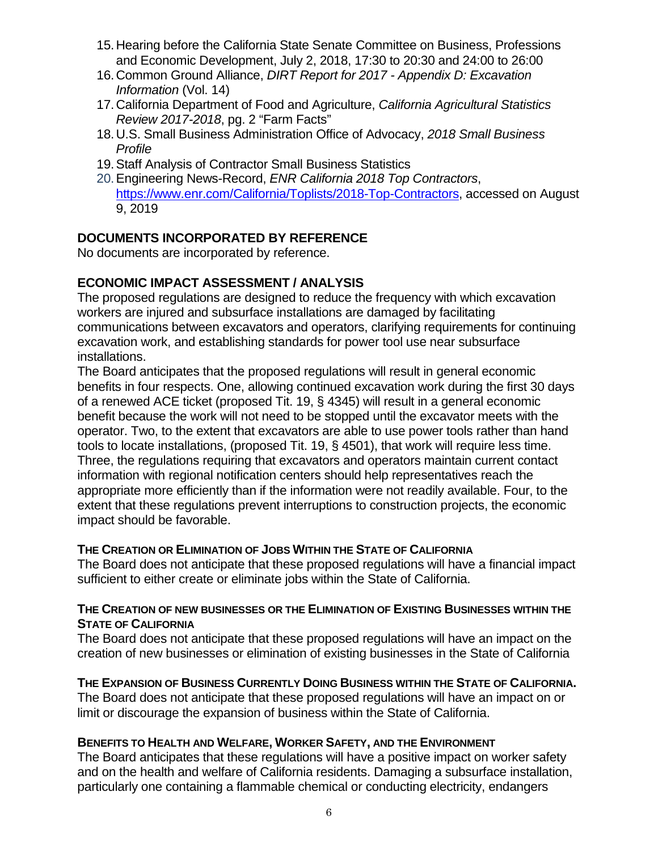- 15.Hearing before the California State Senate Committee on Business, Professions and Economic Development, July 2, 2018, 17:30 to 20:30 and 24:00 to 26:00
- 16.Common Ground Alliance, *DIRT Report for 2017 - Appendix D: Excavation Information* (Vol. 14)
- 17.California Department of Food and Agriculture, *California Agricultural Statistics Review 2017-2018*, pg. 2 "Farm Facts"
- 18.U.S. Small Business Administration Office of Advocacy, *2018 Small Business Profile*
- 19.Staff Analysis of Contractor Small Business Statistics
- 20.Engineering News-Record, *ENR California 2018 Top Contractors*, [https://www.enr.com/California/Toplists/2018-Top-Contractors,](https://www.enr.com/California/Toplists/2018-Top-Contractors) accessed on August 9, 2019

## **DOCUMENTS INCORPORATED BY REFERENCE**

No documents are incorporated by reference.

## **ECONOMIC IMPACT ASSESSMENT / ANALYSIS**

The proposed regulations are designed to reduce the frequency with which excavation workers are injured and subsurface installations are damaged by facilitating communications between excavators and operators, clarifying requirements for continuing excavation work, and establishing standards for power tool use near subsurface installations.

The Board anticipates that the proposed regulations will result in general economic benefits in four respects. One, allowing continued excavation work during the first 30 days of a renewed ACE ticket (proposed Tit. 19, § 4345) will result in a general economic benefit because the work will not need to be stopped until the excavator meets with the operator. Two, to the extent that excavators are able to use power tools rather than hand tools to locate installations, (proposed Tit. 19, § 4501), that work will require less time. Three, the regulations requiring that excavators and operators maintain current contact information with regional notification centers should help representatives reach the appropriate more efficiently than if the information were not readily available. Four, to the extent that these regulations prevent interruptions to construction projects, the economic impact should be favorable.

#### **THE CREATION OR ELIMINATION OF JOBS WITHIN THE STATE OF CALIFORNIA**

The Board does not anticipate that these proposed regulations will have a financial impact sufficient to either create or eliminate jobs within the State of California.

### **THE CREATION OF NEW BUSINESSES OR THE ELIMINATION OF EXISTING BUSINESSES WITHIN THE STATE OF CALIFORNIA**

The Board does not anticipate that these proposed regulations will have an impact on the creation of new businesses or elimination of existing businesses in the State of California

#### **THE EXPANSION OF BUSINESS CURRENTLY DOING BUSINESS WITHIN THE STATE OF CALIFORNIA.**

The Board does not anticipate that these proposed regulations will have an impact on or limit or discourage the expansion of business within the State of California.

#### **BENEFITS TO HEALTH AND WELFARE, WORKER SAFETY, AND THE ENVIRONMENT**

The Board anticipates that these regulations will have a positive impact on worker safety and on the health and welfare of California residents. Damaging a subsurface installation, particularly one containing a flammable chemical or conducting electricity, endangers